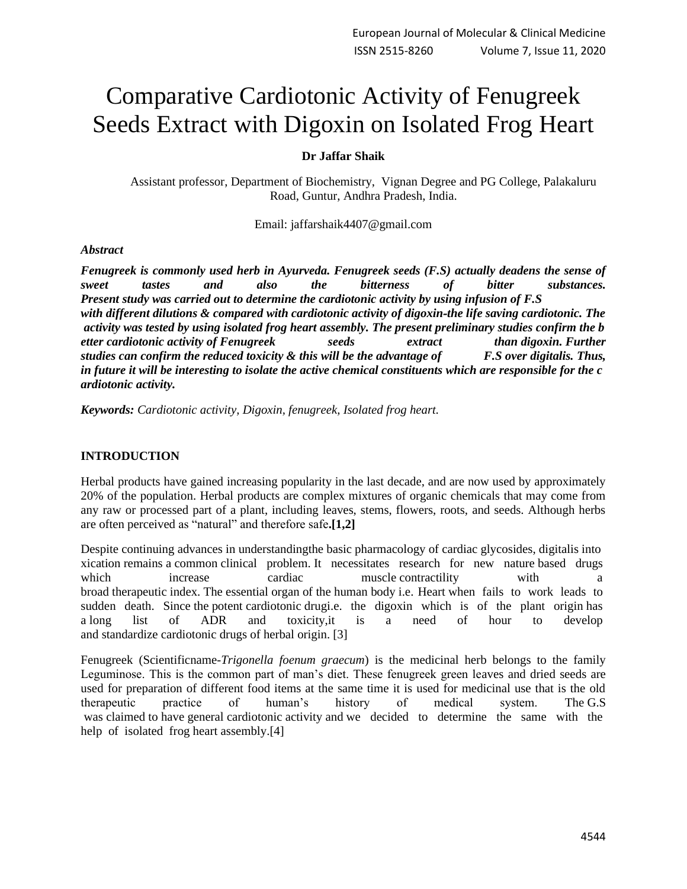# Comparative Cardiotonic Activity of Fenugreek Seeds Extract with Digoxin on Isolated Frog Heart

## **Dr Jaffar Shaik**

Assistant professor, Department of Biochemistry, Vignan Degree and PG College, Palakaluru Road, Guntur, Andhra Pradesh, India.

Email: jaffarshaik4407@gmail.com

## *Abstract*

*Fenugreek is commonly used herb in Ayurveda. Fenugreek seeds (F.S) actually deadens the sense of sweet tastes and also the bitterness of bitter substances. Present study was carried out to determine the cardiotonic activity by using infusion of F.S with different dilutions & compared with cardiotonic activity of digoxin‐the life saving cardiotonic. The activity was tested by using isolated frog heart assembly. The present preliminary studies confirm the b etter cardiotonic activity of Fenugreek seeds extract than digoxin. Further studies can confirm the reduced toxicity & this will be the advantage of F.S over digitalis. Thus,* in future it will be interesting to isolate the active chemical constituents which are responsible for the c *ardiotonic activity.*

*Keywords: Cardiotonic activity, Digoxin, fenugreek, Isolated frog heart.*

# **INTRODUCTION**

Herbal products have gained increasing popularity in the last decade, and are now used by approximately 20% of the population. Herbal products are complex mixtures of organic chemicals that may come from any raw or processed part of a plant, including leaves, stems, flowers, roots, and seeds. Although herbs are often perceived as "natural" and therefore safe**.[1,2]**

Despite continuing advances in understandingthe basic pharmacology of cardiac glycosides, digitalis into xication remains a common clinical problem. It necessitates research for new nature based drugs which increase cardiac muscle contractility with a broad therapeutic index. The essential organ of the human body i.e. Heart when fails to work leads to sudden death. Since the potent cardiotonic drugi.e. the digoxin which is of the plant origin has a long list of ADR and toxicity,it is a need of hour to develop and standardize cardiotonic drugs of herbal origin. [3]

Fenugreek (Scientificname-*Trigonella foenum graecum*) is the medicinal herb belongs to the family Leguminose. This is the common part of man's diet. These fenugreek green leaves and dried seeds are used for preparation of different food items at the same time it is used for medicinal use that is the old therapeutic practice of human's history of medical system. The G.S was claimed to have general cardiotonic activity and we decided to determine the same with the help of isolated frog heart assembly.[4]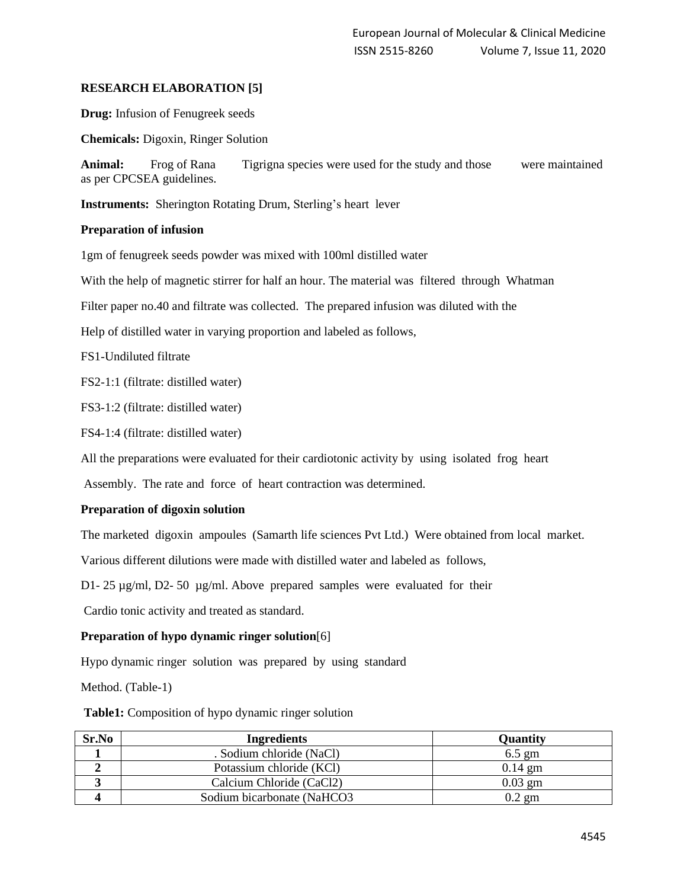## **RESEARCH ELABORATION [5]**

**Drug:** Infusion of Fenugreek seeds

**Chemicals:** Digoxin, Ringer Solution

**Animal:** Frog of Rana Tigrigna species were used for the study and those were maintained as per CPCSEA guidelines.

**Instruments:** Sherington Rotating Drum, Sterling's heart lever

## **Preparation of infusion**

1gm of fenugreek seeds powder was mixed with 100ml distilled water

With the help of magnetic stirrer for half an hour. The material was filtered through Whatman

Filter paper no.40 and filtrate was collected. The prepared infusion was diluted with the

Help of distilled water in varying proportion and labeled as follows,

FS1‐Undiluted filtrate

FS2‐1:1 (filtrate: distilled water)

FS3‐1:2 (filtrate: distilled water)

FS4‐1:4 (filtrate: distilled water)

All the preparations were evaluated for their cardiotonic activity by using isolated frog heart

Assembly. The rate and force of heart contraction was determined.

# **Preparation of digoxin solution**

The marketed digoxin ampoules (Samarth life sciences Pvt Ltd.) Were obtained from local market.

Various different dilutions were made with distilled water and labeled as follows,

D1‐ 25 µg/ml, D2‐ 50 µg/ml. Above prepared samples were evaluated for their

Cardio tonic activity and treated as standard.

## **Preparation of hypo dynamic ringer solution**[6]

Hypo dynamic ringer solution was prepared by using standard

Method. (Table-1)

| Table1: Composition of hypo dynamic ringer solution |
|-----------------------------------------------------|
|-----------------------------------------------------|

| Sr.No | <b>Ingredients</b>         | <b>Quantity</b>  |
|-------|----------------------------|------------------|
|       | . Sodium chloride (NaCl)   | $6.5 \text{ gm}$ |
|       | Potassium chloride (KCl)   | $0.14$ gm        |
|       | Calcium Chloride (CaCl2)   | $0.03$ gm        |
|       | Sodium bicarbonate (NaHCO3 | $0.2$ gm         |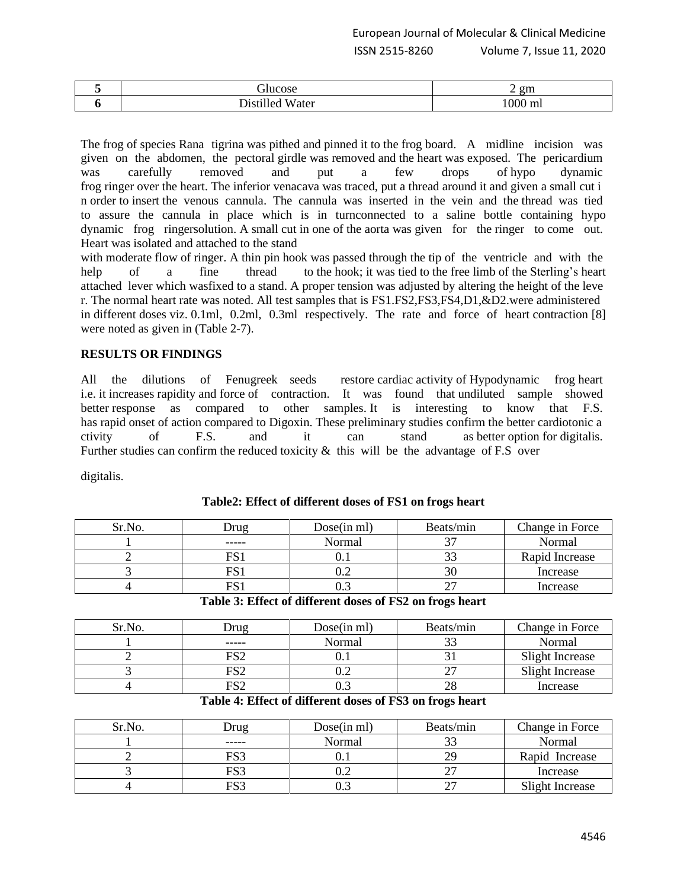|   | $\alpha$ m<br>- |
|---|-----------------|
| . | <b>TOOO</b> HH  |

The frog of species Rana tigrina was pithed and pinned it to the frog board. A midline incision was given on the abdomen, the pectoral girdle was removed and the heart was exposed. The pericardium was carefully removed and put a few drops of hypo dynamic frog ringer over the heart. The inferior venacava was traced, put a thread around it and given a small cut i n order to insert the venous cannula. The cannula was inserted in the vein and the thread was tied to assure the cannula in place which is in turnconnected to a saline bottle containing hypo dynamic frog ringersolution. A small cut in one of the aorta was given for the ringer to come out. Heart was isolated and attached to the stand

with moderate flow of ringer. A thin pin hook was passed through the tip of the ventricle and with the help of a fine thread to the hook; it was tied to the free limb of the Sterling's heart attached lever which wasfixed to a stand. A proper tension was adjusted by altering the height of the leve r. The normal heart rate was noted. All test samples that is FS1.FS2,FS3,FS4,D1,&D2.were administered in different doses viz. 0.1ml, 0.2ml, 0.3ml respectively. The rate and force of heart contraction [8] were noted as given in (Table 2-7).

## **RESULTS OR FINDINGS**

All the dilutions of Fenugreek seeds restore cardiac activity of Hypodynamic frog heart i.e. it increases rapidity and force of contraction. It was found that undiluted sample showed better response as compared to other samples. It is interesting to know that F.S. has rapid onset of action compared to Digoxin. These preliminary studies confirm the better cardiotonic a ctivity of F.S. and it can stand as better option for digitalis. Further studies can confirm the reduced toxicity  $\&$  this will be the advantage of F.S over

digitalis.

| Sr.No. | Drug  | Dose(in ml) | Beats/min | Change in Force |
|--------|-------|-------------|-----------|-----------------|
|        | ----- | Normal      |           | Normal          |
|        | FS.   |             | ົ         | Rapid Increase  |
|        | FS 1  |             |           | Increase        |
|        | mа    |             |           | Increase        |

## **Table2: Effect of different doses of FS1 on frogs heart**

#### **Table 3: Effect of different doses of FS2 on frogs heart**

| Sr.No. | Jrug                | Dose(in ml) | Beats/min | Change in Force        |
|--------|---------------------|-------------|-----------|------------------------|
|        | -----               | Normal      |           | Normal                 |
|        | FC∩                 |             |           | Slight Increase        |
|        | רמח<br>$\mathbf{U}$ |             | ~~        | <b>Slight Increase</b> |
|        |                     |             | o⊂<br>ZΟ  | Increase               |

#### **Table 4: Effect of different doses of FS3 on frogs heart**

| Sr.No. | Jrug          | Dose(in ml) | Beats/min | Change in Force |
|--------|---------------|-------------|-----------|-----------------|
|        | -----         | Normal      |           | Normal          |
|        | FS3           |             | 29        | Rapid Increase  |
|        | EC 2<br>⊥ D.≀ |             |           | Increase        |
|        | ⊓a o          |             | -         | Slight Increase |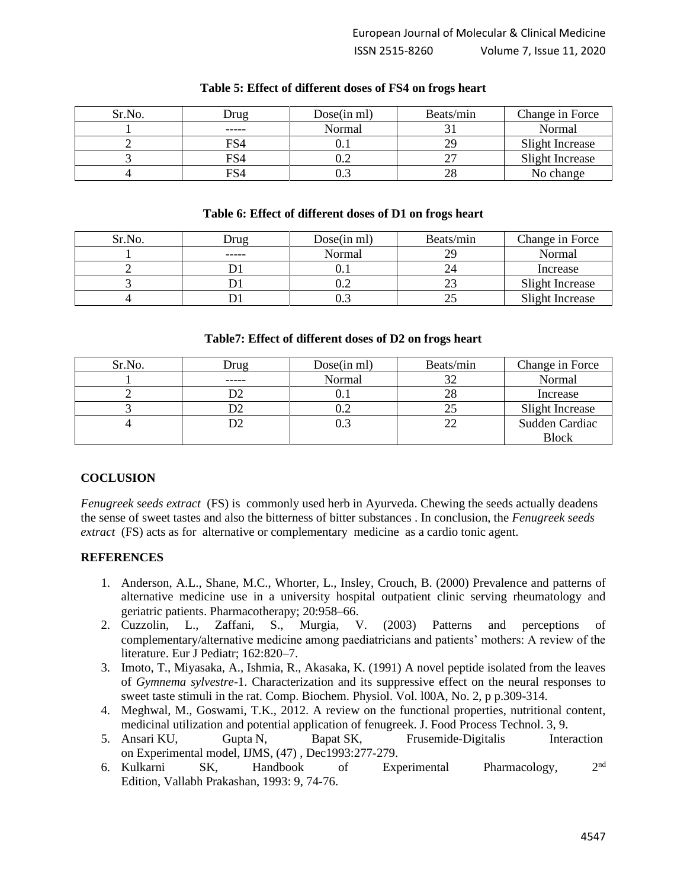| Sr.No. | Jrug        | Dose(in ml) | Beats/min | Change in Force        |
|--------|-------------|-------------|-----------|------------------------|
|        | -----       | Normal      |           | Normal                 |
|        | FS4         |             | 29        | Slight Increase        |
|        | FS4         |             | ~~        | <b>Slight Increase</b> |
|        | $\nabla S4$ |             | 28        | No change              |

## **Table 5: Effect of different doses of FS4 on frogs heart**

#### **Table 6: Effect of different doses of D1 on frogs heart**

| Sr.No. | Jrug | Dose(in ml) | Beats/min | Change in Force        |
|--------|------|-------------|-----------|------------------------|
|        |      | Normal      |           | Normal                 |
|        |      |             |           | Increase               |
|        |      |             | ີ<br>ن    | Slight Increase        |
|        |      |             | ىك        | <b>Slight Increase</b> |

#### **Table7: Effect of different doses of D2 on frogs heart**

| Sr.No. | Drug | Dose(in ml) | Beats/min | Change in Force        |
|--------|------|-------------|-----------|------------------------|
|        |      | Normal      |           | Normal                 |
|        |      |             | 28        | Increase               |
|        |      |             |           | <b>Slight Increase</b> |
|        |      |             | 22        | Sudden Cardiac         |
|        |      |             |           | <b>Block</b>           |

# **COCLUSION**

*Fenugreek seeds extract* (FS) is commonly used herb in Ayurveda. Chewing the seeds actually deadens the sense of sweet tastes and also the bitterness of bitter substances . In conclusion, the *Fenugreek seeds extract* (FS) acts as for alternative or complementary medicine as a cardio tonic agent.

## **REFERENCES**

- 1. Anderson, A.L., Shane, M.C., Whorter, L., Insley, Crouch, B. (2000) Prevalence and patterns of alternative medicine use in a university hospital outpatient clinic serving rheumatology and geriatric patients. Pharmacotherapy; 20:958–66.
- 2. Cuzzolin, L., Zaffani, S., Murgia, V. (2003) Patterns and perceptions of complementary/alternative medicine among paediatricians and patients' mothers: A review of the literature. Eur J Pediatr; 162:820–7.
- 3. Imoto, T., Miyasaka, A., Ishmia, R., Akasaka, K. (1991) A novel peptide isolated from the leaves of *Gymnema sylvestre*-1. Characterization and its suppressive effect on the neural responses to sweet taste stimuli in the rat. Comp. Biochem. Physiol. Vol. l00A, No. 2, p p.309-314.
- 4. Meghwal, M., Goswami, T.K., 2012. A review on the functional properties, nutritional content, medicinal utilization and potential application of fenugreek. J. Food Process Technol. 3, 9.
- 5. Ansari KU, Gupta N, Bapat SK, Frusemide‐Digitalis Interaction on Experimental model, IJMS, (47) , Dec1993:277‐279.
- 6. Kulkarni SK, Handbook of Experimental Pharmacology, 2  $2<sub>nd</sub>$ Edition, Vallabh Prakashan, 1993: 9, 74‐76.